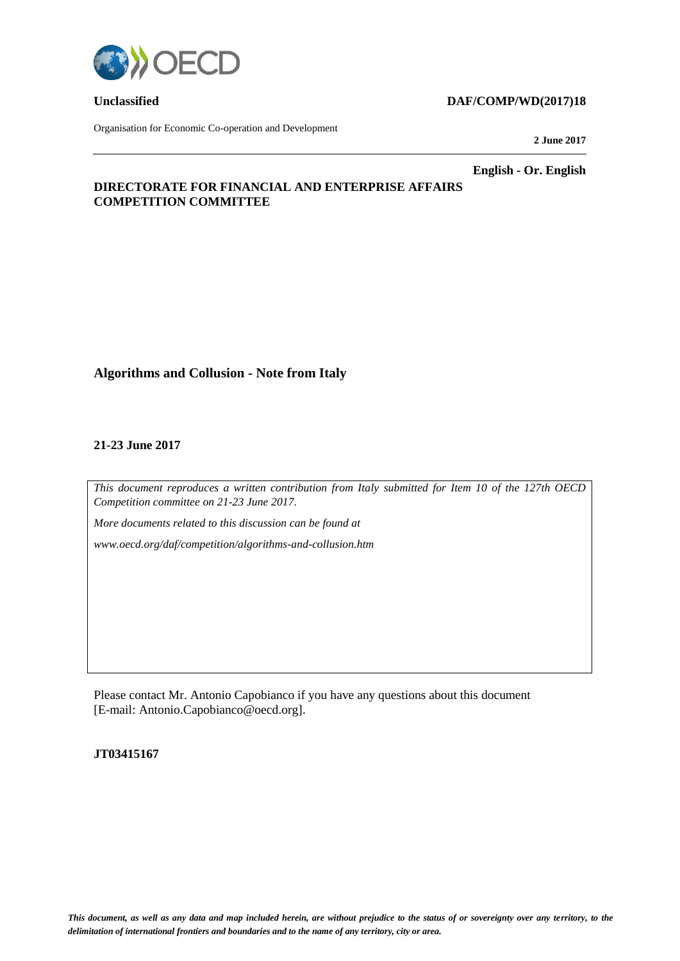

Organisation for Economic Co-operation and Development

## **Unclassified DAF/COMP/WD(2017)18**

**2 June 2017**

**English - Or. English**

# **DIRECTORATE FOR FINANCIAL AND ENTERPRISE AFFAIRS COMPETITION COMMITTEE**

# **Algorithms and Collusion - Note from Italy**

## **21-23 June 2017**

*This document reproduces a written contribution from Italy submitted for Item 10 of the 127th OECD Competition committee on 21-23 June 2017.*

*More documents related to this discussion can be found at* 

*www.oecd.org/daf/competition/algorithms-and-collusion.htm*

Please contact Mr. Antonio Capobianco if you have any questions about this document [E-mail: Antonio.Capobianco@oecd.org].

## **JT03415167**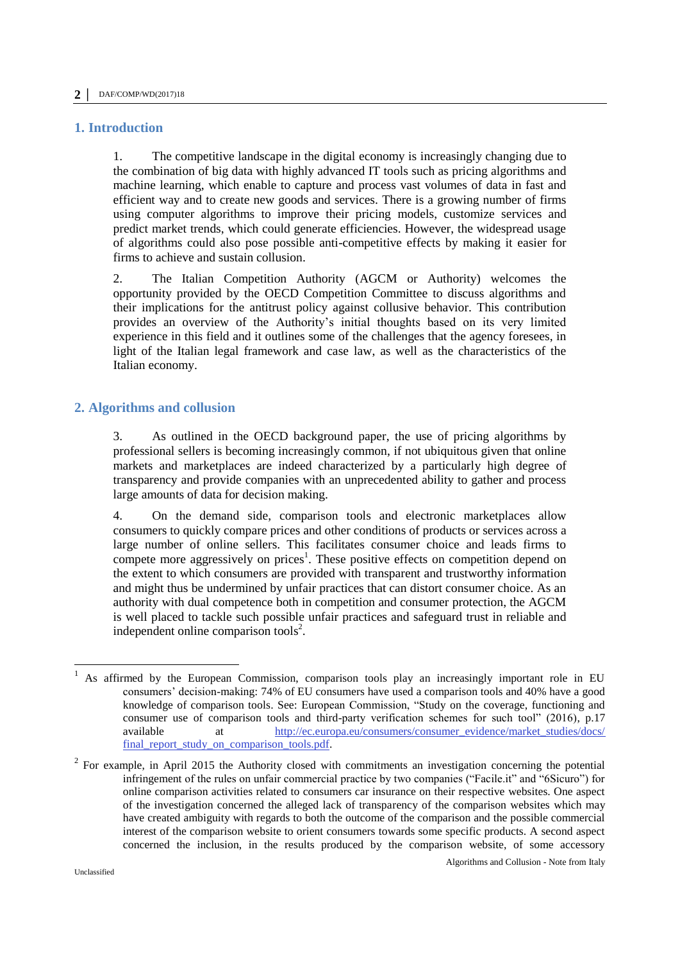## **1. Introduction**

1. The competitive landscape in the digital economy is increasingly changing due to the combination of big data with highly advanced IT tools such as pricing algorithms and machine learning, which enable to capture and process vast volumes of data in fast and efficient way and to create new goods and services. There is a growing number of firms using computer algorithms to improve their pricing models, customize services and predict market trends, which could generate efficiencies. However, the widespread usage of algorithms could also pose possible anti-competitive effects by making it easier for firms to achieve and sustain collusion.

2. The Italian Competition Authority (AGCM or Authority) welcomes the opportunity provided by the OECD Competition Committee to discuss algorithms and their implications for the antitrust policy against collusive behavior. This contribution provides an overview of the Authority's initial thoughts based on its very limited experience in this field and it outlines some of the challenges that the agency foresees, in light of the Italian legal framework and case law, as well as the characteristics of the Italian economy.

# **2. Algorithms and collusion**

3. As outlined in the OECD background paper, the use of pricing algorithms by professional sellers is becoming increasingly common, if not ubiquitous given that online markets and marketplaces are indeed characterized by a particularly high degree of transparency and provide companies with an unprecedented ability to gather and process large amounts of data for decision making.

4. On the demand side, comparison tools and electronic marketplaces allow consumers to quickly compare prices and other conditions of products or services across a large number of online sellers. This facilitates consumer choice and leads firms to compete more aggressively on prices<sup>1</sup>. These positive effects on competition depend on the extent to which consumers are provided with transparent and trustworthy information and might thus be undermined by unfair practices that can distort consumer choice. As an authority with dual competence both in competition and consumer protection, the AGCM is well placed to tackle such possible unfair practices and safeguard trust in reliable and independent online comparison tools<sup>2</sup>.

<sup>1</sup> As affirmed by the European Commission, comparison tools play an increasingly important role in EU consumers' decision-making: 74% of EU consumers have used a comparison tools and 40% have a good knowledge of comparison tools. See: European Commission, "Study on the coverage, functioning and consumer use of comparison tools and third-party verification schemes for such tool" (2016), p.17 available at http://ec.europa.eu/consumers/consumer evidence/market studies/docs/ at [http://ec.europa.eu/consumers/consumer\\_evidence/market\\_studies/docs/](http://ec.europa.eu/consumers/consumer_evidence/market_studies/docs/final_report_study_on_comparison_tools.pdf) [final\\_report\\_study\\_on\\_comparison\\_tools.pdf.](http://ec.europa.eu/consumers/consumer_evidence/market_studies/docs/final_report_study_on_comparison_tools.pdf)

 $2^2$  For example, in April 2015 the Authority closed with commitments an investigation concerning the potential infringement of the rules on unfair commercial practice by two companies ("Facile.it" and "6Sicuro") for online comparison activities related to consumers car insurance on their respective websites. One aspect of the investigation concerned the alleged lack of transparency of the comparison websites which may have created ambiguity with regards to both the outcome of the comparison and the possible commercial interest of the comparison website to orient consumers towards some specific products. A second aspect concerned the inclusion, in the results produced by the comparison website, of some accessory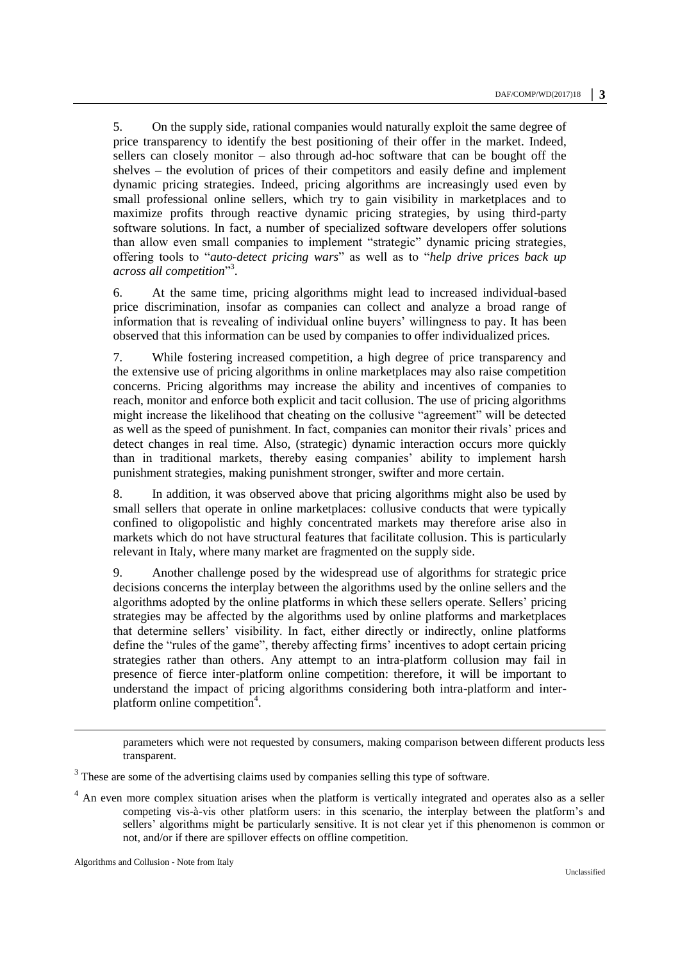5. On the supply side, rational companies would naturally exploit the same degree of price transparency to identify the best positioning of their offer in the market. Indeed, sellers can closely monitor – also through ad-hoc software that can be bought off the shelves – the evolution of prices of their competitors and easily define and implement dynamic pricing strategies. Indeed, pricing algorithms are increasingly used even by small professional online sellers, which try to gain visibility in marketplaces and to maximize profits through reactive dynamic pricing strategies, by using third-party software solutions. In fact, a number of specialized software developers offer solutions than allow even small companies to implement "strategic" dynamic pricing strategies, offering tools to "*auto-detect pricing wars*" as well as to "*help drive prices back up across all competition*" 3 .

6. At the same time, pricing algorithms might lead to increased individual-based price discrimination, insofar as companies can collect and analyze a broad range of information that is revealing of individual online buyers' willingness to pay. It has been observed that this information can be used by companies to offer individualized prices.

7. While fostering increased competition, a high degree of price transparency and the extensive use of pricing algorithms in online marketplaces may also raise competition concerns. Pricing algorithms may increase the ability and incentives of companies to reach, monitor and enforce both explicit and tacit collusion. The use of pricing algorithms might increase the likelihood that cheating on the collusive "agreement" will be detected as well as the speed of punishment. In fact, companies can monitor their rivals' prices and detect changes in real time. Also, (strategic) dynamic interaction occurs more quickly than in traditional markets, thereby easing companies' ability to implement harsh punishment strategies, making punishment stronger, swifter and more certain.

8. In addition, it was observed above that pricing algorithms might also be used by small sellers that operate in online marketplaces: collusive conducts that were typically confined to oligopolistic and highly concentrated markets may therefore arise also in markets which do not have structural features that facilitate collusion. This is particularly relevant in Italy, where many market are fragmented on the supply side.

9. Another challenge posed by the widespread use of algorithms for strategic price decisions concerns the interplay between the algorithms used by the online sellers and the algorithms adopted by the online platforms in which these sellers operate. Sellers' pricing strategies may be affected by the algorithms used by online platforms and marketplaces that determine sellers' visibility. In fact, either directly or indirectly, online platforms define the "rules of the game", thereby affecting firms' incentives to adopt certain pricing strategies rather than others. Any attempt to an intra-platform collusion may fail in presence of fierce inter-platform online competition: therefore, it will be important to understand the impact of pricing algorithms considering both intra-platform and interplatform online competition<sup>4</sup>.

Algorithms and Collusion - Note from Italy

-

parameters which were not requested by consumers, making comparison between different products less transparent.

 $3$  These are some of the advertising claims used by companies selling this type of software.

<sup>4</sup> An even more complex situation arises when the platform is vertically integrated and operates also as a seller competing vis-à-vis other platform users: in this scenario, the interplay between the platform's and sellers' algorithms might be particularly sensitive. It is not clear yet if this phenomenon is common or not, and/or if there are spillover effects on offline competition.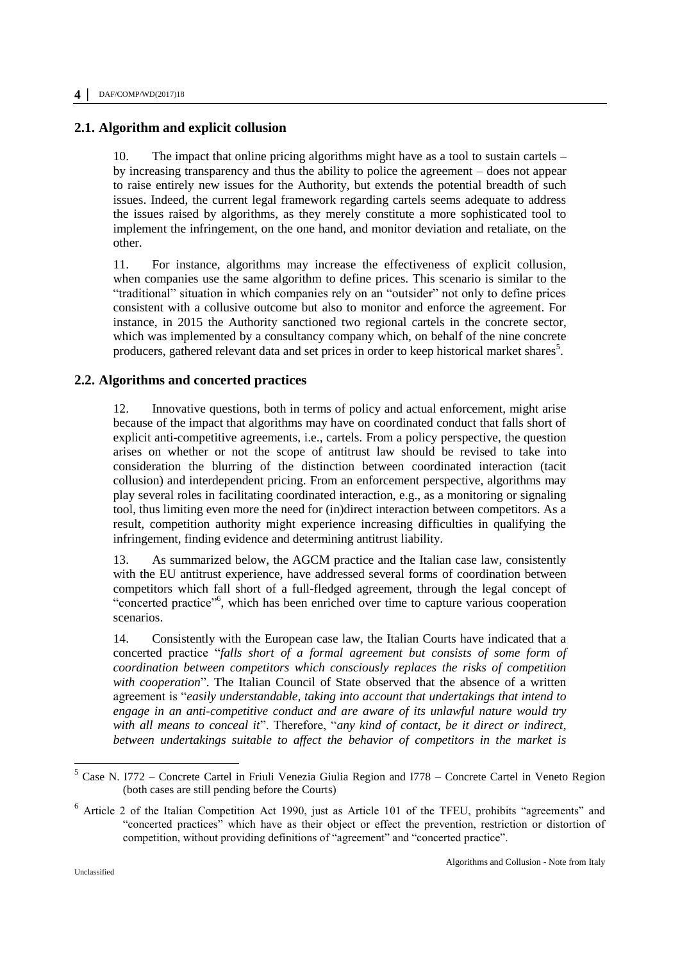## **2.1. Algorithm and explicit collusion**

10. The impact that online pricing algorithms might have as a tool to sustain cartels – by increasing transparency and thus the ability to police the agreement – does not appear to raise entirely new issues for the Authority, but extends the potential breadth of such issues. Indeed, the current legal framework regarding cartels seems adequate to address the issues raised by algorithms, as they merely constitute a more sophisticated tool to implement the infringement, on the one hand, and monitor deviation and retaliate, on the other.

11. For instance, algorithms may increase the effectiveness of explicit collusion, when companies use the same algorithm to define prices. This scenario is similar to the "traditional" situation in which companies rely on an "outsider" not only to define prices consistent with a collusive outcome but also to monitor and enforce the agreement. For instance, in 2015 the Authority sanctioned two regional cartels in the concrete sector, which was implemented by a consultancy company which, on behalf of the nine concrete producers, gathered relevant data and set prices in order to keep historical market shares<sup>5</sup>.

## **2.2. Algorithms and concerted practices**

12. Innovative questions, both in terms of policy and actual enforcement, might arise because of the impact that algorithms may have on coordinated conduct that falls short of explicit anti-competitive agreements, i.e., cartels. From a policy perspective, the question arises on whether or not the scope of antitrust law should be revised to take into consideration the blurring of the distinction between coordinated interaction (tacit collusion) and interdependent pricing. From an enforcement perspective, algorithms may play several roles in facilitating coordinated interaction, e.g., as a monitoring or signaling tool, thus limiting even more the need for (in)direct interaction between competitors. As a result, competition authority might experience increasing difficulties in qualifying the infringement, finding evidence and determining antitrust liability.

13. As summarized below, the AGCM practice and the Italian case law, consistently with the EU antitrust experience, have addressed several forms of coordination between competitors which fall short of a full-fledged agreement, through the legal concept of "concerted practice"<sup>6</sup>, which has been enriched over time to capture various cooperation scenarios.

14. Consistently with the European case law, the Italian Courts have indicated that a concerted practice "*falls short of a formal agreement but consists of some form of coordination between competitors which consciously replaces the risks of competition with cooperation*". The Italian Council of State observed that the absence of a written agreement is "*easily understandable, taking into account that undertakings that intend to engage in an anti-competitive conduct and are aware of its unlawful nature would try with all means to conceal it*". Therefore, "*any kind of contact, be it direct or indirect, between undertakings suitable to affect the behavior of competitors in the market is* 

<sup>&</sup>lt;sup>5</sup> Case N. I772 – Concrete Cartel in Friuli Venezia Giulia Region and I778 – Concrete Cartel in Veneto Region (both cases are still pending before the Courts)

<sup>6</sup> Article 2 of the Italian Competition Act 1990, just as Article 101 of the TFEU, prohibits "agreements" and "concerted practices" which have as their object or effect the prevention, restriction or distortion of competition, without providing definitions of "agreement" and "concerted practice".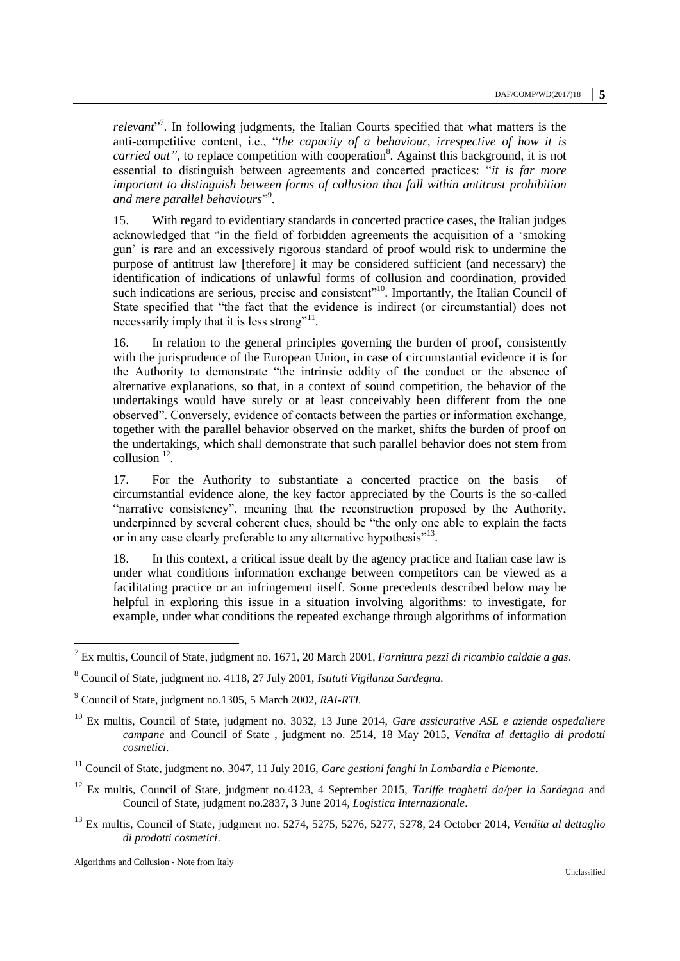relevant<sup>"7</sup>. In following judgments, the Italian Courts specified that what matters is the anti-competitive content, i.e., "*the capacity of a behaviour, irrespective of how it is carried out*", to replace competition with cooperation<sup>8</sup>. Against this background, it is not essential to distinguish between agreements and concerted practices: "*it is far more important to distinguish between forms of collusion that fall within antitrust prohibition and mere parallel behaviours*" 9 .

15. With regard to evidentiary standards in concerted practice cases, the Italian judges acknowledged that "in the field of forbidden agreements the acquisition of a 'smoking gun' is rare and an excessively rigorous standard of proof would risk to undermine the purpose of antitrust law [therefore] it may be considered sufficient (and necessary) the identification of indications of unlawful forms of collusion and coordination, provided such indications are serious, precise and consistent<sup>"10</sup>. Importantly, the Italian Council of State specified that "the fact that the evidence is indirect (or circumstantial) does not necessarily imply that it is less strong"<sup>11</sup>.

16. In relation to the general principles governing the burden of proof, consistently with the jurisprudence of the European Union, in case of circumstantial evidence it is for the Authority to demonstrate "the intrinsic oddity of the conduct or the absence of alternative explanations, so that, in a context of sound competition, the behavior of the undertakings would have surely or at least conceivably been different from the one observed". Conversely, evidence of contacts between the parties or information exchange, together with the parallel behavior observed on the market, shifts the burden of proof on the undertakings, which shall demonstrate that such parallel behavior does not stem from collusion  $^{12}$ .

17. For the Authority to substantiate a concerted practice on the basis of circumstantial evidence alone, the key factor appreciated by the Courts is the so-called "narrative consistency", meaning that the reconstruction proposed by the Authority, underpinned by several coherent clues, should be "the only one able to explain the facts or in any case clearly preferable to any alternative hypothesis"<sup>13</sup>.

18. In this context, a critical issue dealt by the agency practice and Italian case law is under what conditions information exchange between competitors can be viewed as a facilitating practice or an infringement itself. Some precedents described below may be helpful in exploring this issue in a situation involving algorithms: to investigate, for example, under what conditions the repeated exchange through algorithms of information

<sup>13</sup> Ex multis, Council of State, judgment no. 5274, 5275, 5276, 5277, 5278, 24 October 2014, *Vendita al dettaglio di prodotti cosmetici*.

Algorithms and Collusion - Note from Italy

<sup>7</sup> Ex multis, Council of State, judgment no. 1671, 20 March 2001, *Fornitura pezzi di ricambio caldaie a gas*.

<sup>8</sup> Council of State, judgment no. 4118, 27 July 2001, *Istituti Vigilanza Sardegna.*

<sup>9</sup> Council of State, judgment no.1305, 5 March 2002, *RAI-RTI.*

<sup>10</sup> Ex multis, Council of State, judgment no. 3032, 13 June 2014, *Gare assicurative ASL e aziende ospedaliere campane* and Council of State , judgment no. 2514, 18 May 2015, *Vendita al dettaglio di prodotti cosmetici*.

<sup>11</sup> Council of State, judgment no. 3047, 11 July 2016, *Gare gestioni fanghi in Lombardia e Piemonte*.

<sup>12</sup> Ex multis, Council of State, judgment no.4123, 4 September 2015, *Tariffe traghetti da/per la Sardegna* and Council of State, judgment no.2837, 3 June 2014, *Logistica Internazionale*.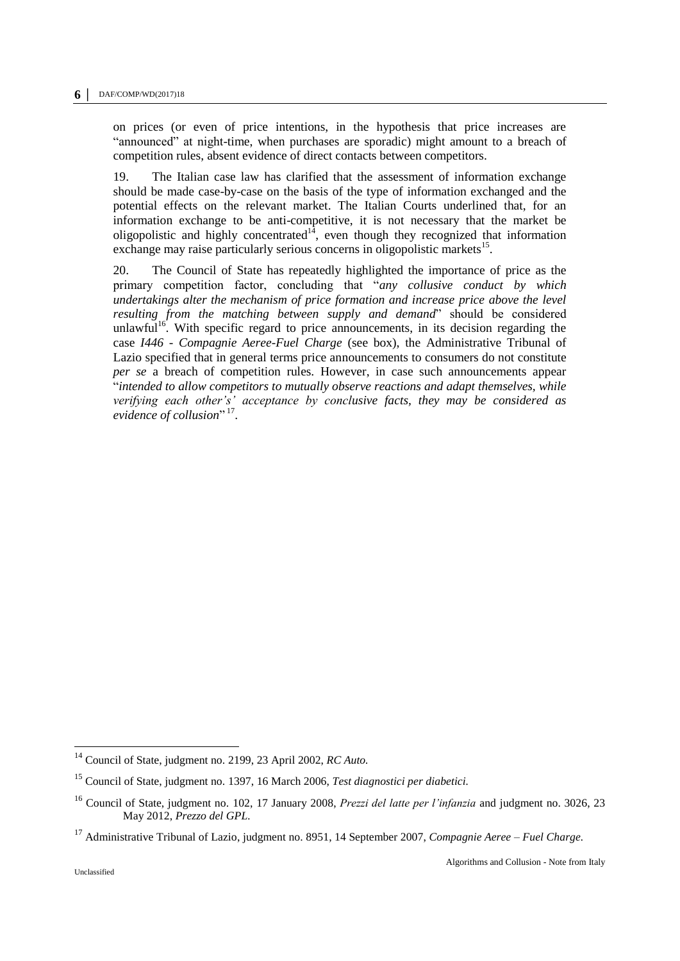on prices (or even of price intentions, in the hypothesis that price increases are "announced" at night-time, when purchases are sporadic) might amount to a breach of competition rules, absent evidence of direct contacts between competitors.

19. The Italian case law has clarified that the assessment of information exchange should be made case-by-case on the basis of the type of information exchanged and the potential effects on the relevant market. The Italian Courts underlined that, for an information exchange to be anti-competitive, it is not necessary that the market be oligopolistic and highly concentrated<sup>14</sup>, even though they recognized that information exchange may raise particularly serious concerns in oligopolistic markets<sup>15</sup>.

20. The Council of State has repeatedly highlighted the importance of price as the primary competition factor, concluding that "*any collusive conduct by which undertakings alter the mechanism of price formation and increase price above the level resulting from the matching between supply and demand*" should be considered unlawful<sup>16</sup>. With specific regard to price announcements, in its decision regarding the case *I446 - Compagnie Aeree-Fuel Charge* (see box), the Administrative Tribunal of Lazio specified that in general terms price announcements to consumers do not constitute *per se* a breach of competition rules. However, in case such announcements appear "*intended to allow competitors to mutually observe reactions and adapt themselves, while verifying each other's' acceptance by conclusive facts, they may be considered as*  evidence of collusion" <sup>17</sup>.

<sup>14</sup> Council of State, judgment no. 2199, 23 April 2002, *RC Auto.*

<sup>15</sup> Council of State, judgment no. 1397, 16 March 2006, *Test diagnostici per diabetici.*

<sup>16</sup> Council of State, judgment no. 102, 17 January 2008, *Prezzi del latte per l'infanzia* and judgment no. 3026, 23 May 2012, *Prezzo del GPL.*

<sup>17</sup> Administrative Tribunal of Lazio, judgment no. 8951, 14 September 2007, *Compagnie Aeree – Fuel Charge.*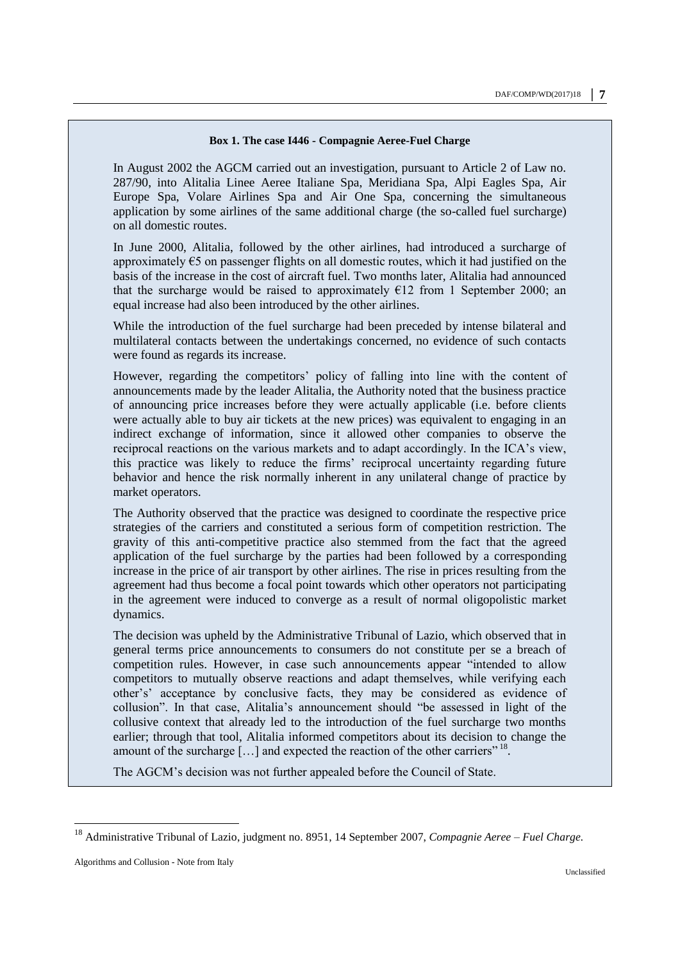### **Box 1. The case I446 - Compagnie Aeree-Fuel Charge**

In August 2002 the AGCM carried out an investigation, pursuant to Article 2 of Law no. 287/90, into Alitalia Linee Aeree Italiane Spa, Meridiana Spa, Alpi Eagles Spa, Air Europe Spa, Volare Airlines Spa and Air One Spa, concerning the simultaneous application by some airlines of the same additional charge (the so-called fuel surcharge) on all domestic routes.

In June 2000, Alitalia, followed by the other airlines, had introduced a surcharge of approximately  $\epsilon$ 5 on passenger flights on all domestic routes, which it had justified on the basis of the increase in the cost of aircraft fuel. Two months later, Alitalia had announced that the surcharge would be raised to approximately  $E12$  from 1 September 2000; an equal increase had also been introduced by the other airlines.

While the introduction of the fuel surcharge had been preceded by intense bilateral and multilateral contacts between the undertakings concerned, no evidence of such contacts were found as regards its increase.

However, regarding the competitors' policy of falling into line with the content of announcements made by the leader Alitalia, the Authority noted that the business practice of announcing price increases before they were actually applicable (i.e. before clients were actually able to buy air tickets at the new prices) was equivalent to engaging in an indirect exchange of information, since it allowed other companies to observe the reciprocal reactions on the various markets and to adapt accordingly. In the ICA's view, this practice was likely to reduce the firms' reciprocal uncertainty regarding future behavior and hence the risk normally inherent in any unilateral change of practice by market operators.

The Authority observed that the practice was designed to coordinate the respective price strategies of the carriers and constituted a serious form of competition restriction. The gravity of this anti-competitive practice also stemmed from the fact that the agreed application of the fuel surcharge by the parties had been followed by a corresponding increase in the price of air transport by other airlines. The rise in prices resulting from the agreement had thus become a focal point towards which other operators not participating in the agreement were induced to converge as a result of normal oligopolistic market dynamics.

The decision was upheld by the Administrative Tribunal of Lazio, which observed that in general terms price announcements to consumers do not constitute per se a breach of competition rules. However, in case such announcements appear "intended to allow competitors to mutually observe reactions and adapt themselves, while verifying each other's' acceptance by conclusive facts, they may be considered as evidence of collusion". In that case, Alitalia's announcement should "be assessed in light of the collusive context that already led to the introduction of the fuel surcharge two months earlier; through that tool, Alitalia informed competitors about its decision to change the amount of the surcharge  $[...]$  and expected the reaction of the other carriers" <sup>18</sup>.

The AGCM's decision was not further appealed before the Council of State.

<sup>18</sup> Administrative Tribunal of Lazio, judgment no. 8951, 14 September 2007, *Compagnie Aeree – Fuel Charge.*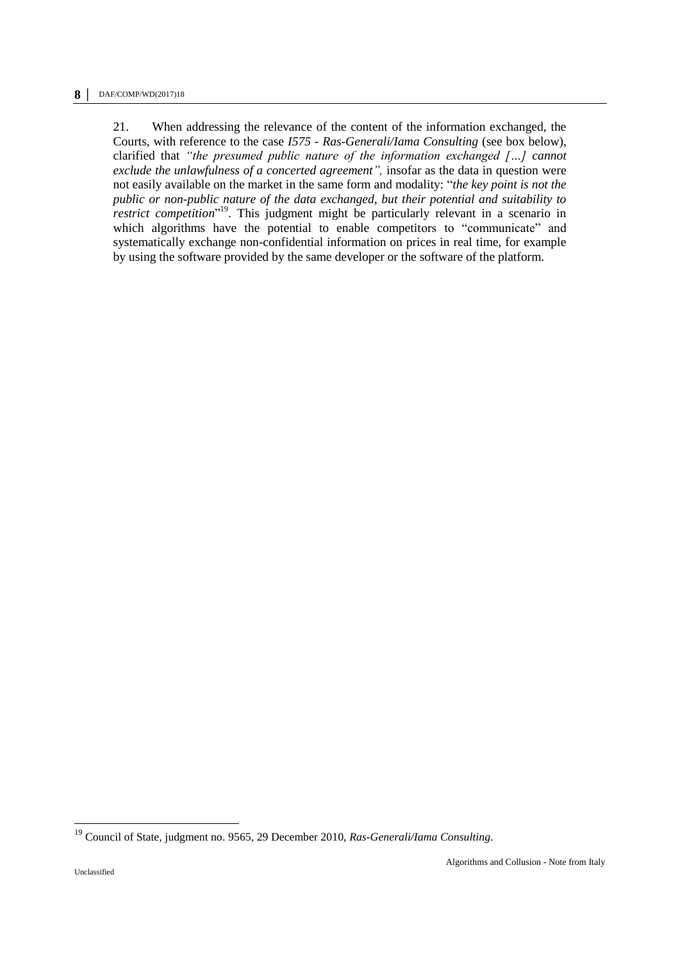21. When addressing the relevance of the content of the information exchanged, the Courts, with reference to the case *I575 - Ras-Generali/Iama Consulting* (see box below), clarified that *"the presumed public nature of the information exchanged […] cannot exclude the unlawfulness of a concerted agreement",* insofar as the data in question were not easily available on the market in the same form and modality: "*the key point is not the public or non-public nature of the data exchanged, but their potential and suitability to restrict competition*" <sup>19</sup>. This judgment might be particularly relevant in a scenario in which algorithms have the potential to enable competitors to "communicate" and systematically exchange non-confidential information on prices in real time, for example by using the software provided by the same developer or the software of the platform.

<sup>19</sup> Council of State, judgment no. 9565, 29 December 2010, *Ras-Generali/Iama Consulting*.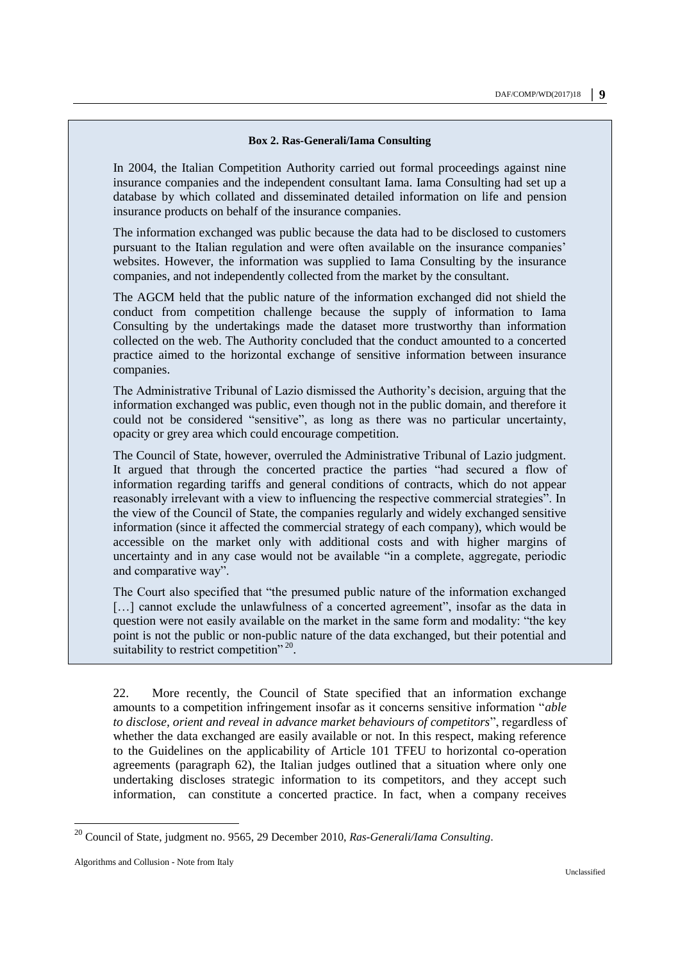#### **Box 2. Ras-Generali/Iama Consulting**

In 2004, the Italian Competition Authority carried out formal proceedings against nine insurance companies and the independent consultant Iama. Iama Consulting had set up a database by which collated and disseminated detailed information on life and pension insurance products on behalf of the insurance companies.

The information exchanged was public because the data had to be disclosed to customers pursuant to the Italian regulation and were often available on the insurance companies' websites. However, the information was supplied to Iama Consulting by the insurance companies, and not independently collected from the market by the consultant.

The AGCM held that the public nature of the information exchanged did not shield the conduct from competition challenge because the supply of information to Iama Consulting by the undertakings made the dataset more trustworthy than information collected on the web. The Authority concluded that the conduct amounted to a concerted practice aimed to the horizontal exchange of sensitive information between insurance companies.

The Administrative Tribunal of Lazio dismissed the Authority's decision, arguing that the information exchanged was public, even though not in the public domain, and therefore it could not be considered "sensitive", as long as there was no particular uncertainty, opacity or grey area which could encourage competition.

The Council of State, however, overruled the Administrative Tribunal of Lazio judgment. It argued that through the concerted practice the parties "had secured a flow of information regarding tariffs and general conditions of contracts, which do not appear reasonably irrelevant with a view to influencing the respective commercial strategies". In the view of the Council of State, the companies regularly and widely exchanged sensitive information (since it affected the commercial strategy of each company), which would be accessible on the market only with additional costs and with higher margins of uncertainty and in any case would not be available "in a complete, aggregate, periodic and comparative way".

The Court also specified that "the presumed public nature of the information exchanged [...] cannot exclude the unlawfulness of a concerted agreement", insofar as the data in question were not easily available on the market in the same form and modality: "the key point is not the public or non-public nature of the data exchanged, but their potential and suitability to restrict competition"<sup>20</sup>.

22. More recently, the Council of State specified that an information exchange amounts to a competition infringement insofar as it concerns sensitive information "*able to disclose, orient and reveal in advance market behaviours of competitors*", regardless of whether the data exchanged are easily available or not. In this respect, making reference to the Guidelines on the applicability of Article 101 TFEU to horizontal co-operation agreements (paragraph 62), the Italian judges outlined that a situation where only one undertaking discloses strategic information to its competitors, and they accept such information, can constitute a concerted practice. In fact, when a company receives

<sup>20</sup> Council of State, judgment no. 9565, 29 December 2010, *Ras-Generali/Iama Consulting*.

Algorithms and Collusion - Note from Italy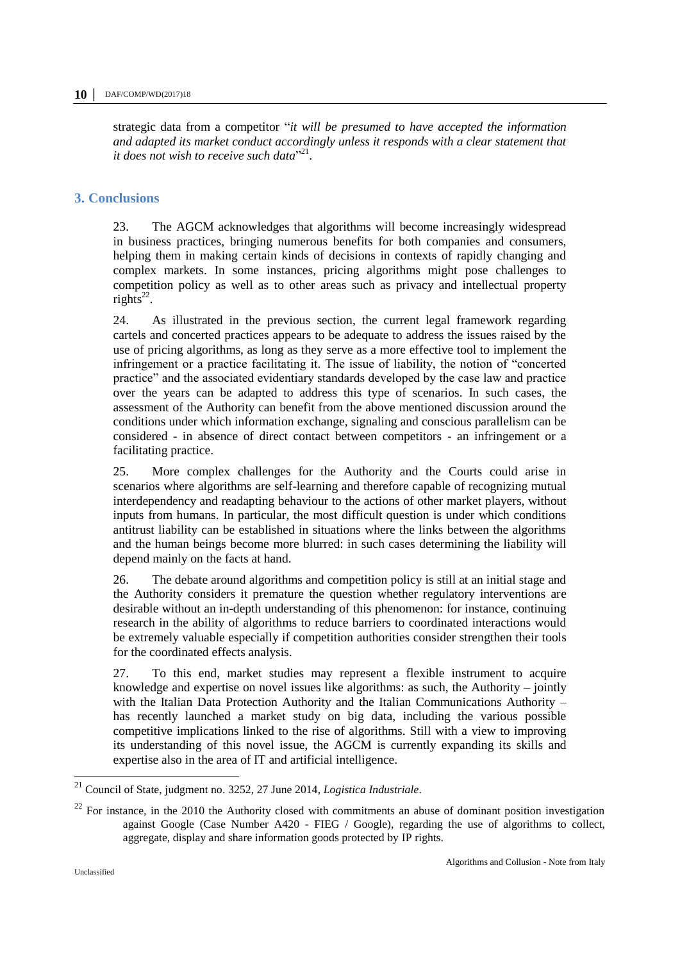strategic data from a competitor "*it will be presumed to have accepted the information and adapted its market conduct accordingly unless it responds with a clear statement that it does not wish to receive such data*" 21 .

# **3. Conclusions**

23. The AGCM acknowledges that algorithms will become increasingly widespread in business practices, bringing numerous benefits for both companies and consumers, helping them in making certain kinds of decisions in contexts of rapidly changing and complex markets. In some instances, pricing algorithms might pose challenges to competition policy as well as to other areas such as privacy and intellectual property  $rights<sup>22</sup>$ .

24. As illustrated in the previous section, the current legal framework regarding cartels and concerted practices appears to be adequate to address the issues raised by the use of pricing algorithms, as long as they serve as a more effective tool to implement the infringement or a practice facilitating it. The issue of liability, the notion of "concerted practice" and the associated evidentiary standards developed by the case law and practice over the years can be adapted to address this type of scenarios. In such cases, the assessment of the Authority can benefit from the above mentioned discussion around the conditions under which information exchange, signaling and conscious parallelism can be considered - in absence of direct contact between competitors - an infringement or a facilitating practice.

25. More complex challenges for the Authority and the Courts could arise in scenarios where algorithms are self-learning and therefore capable of recognizing mutual interdependency and readapting behaviour to the actions of other market players, without inputs from humans. In particular, the most difficult question is under which conditions antitrust liability can be established in situations where the links between the algorithms and the human beings become more blurred: in such cases determining the liability will depend mainly on the facts at hand.

26. The debate around algorithms and competition policy is still at an initial stage and the Authority considers it premature the question whether regulatory interventions are desirable without an in-depth understanding of this phenomenon: for instance, continuing research in the ability of algorithms to reduce barriers to coordinated interactions would be extremely valuable especially if competition authorities consider strengthen their tools for the coordinated effects analysis.

27. To this end, market studies may represent a flexible instrument to acquire knowledge and expertise on novel issues like algorithms: as such, the Authority – jointly with the Italian Data Protection Authority and the Italian Communications Authority – has recently launched a market study on big data, including the various possible competitive implications linked to the rise of algorithms. Still with a view to improving its understanding of this novel issue, the AGCM is currently expanding its skills and expertise also in the area of IT and artificial intelligence.

<sup>21</sup> Council of State, judgment no. 3252, 27 June 2014, *Logistica Industriale*.

 $22$  For instance, in the 2010 the Authority closed with commitments an abuse of dominant position investigation against Google (Case Number A420 - FIEG / Google), regarding the use of algorithms to collect, aggregate, display and share information goods protected by IP rights.